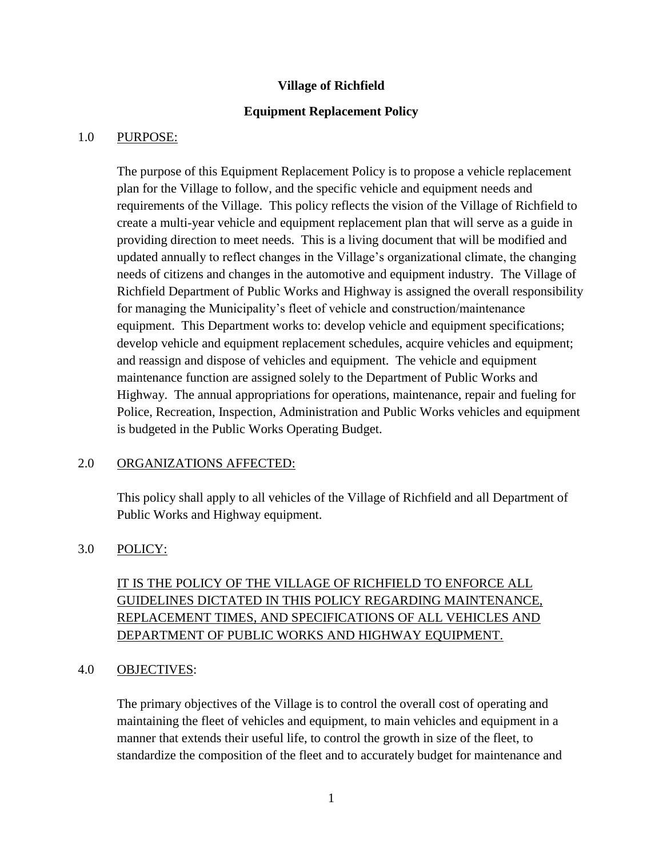#### **Village of Richfield**

#### **Equipment Replacement Policy**

#### 1.0 PURPOSE:

The purpose of this Equipment Replacement Policy is to propose a vehicle replacement plan for the Village to follow, and the specific vehicle and equipment needs and requirements of the Village. This policy reflects the vision of the Village of Richfield to create a multi-year vehicle and equipment replacement plan that will serve as a guide in providing direction to meet needs. This is a living document that will be modified and updated annually to reflect changes in the Village's organizational climate, the changing needs of citizens and changes in the automotive and equipment industry. The Village of Richfield Department of Public Works and Highway is assigned the overall responsibility for managing the Municipality's fleet of vehicle and construction/maintenance equipment. This Department works to: develop vehicle and equipment specifications; develop vehicle and equipment replacement schedules, acquire vehicles and equipment; and reassign and dispose of vehicles and equipment. The vehicle and equipment maintenance function are assigned solely to the Department of Public Works and Highway. The annual appropriations for operations, maintenance, repair and fueling for Police, Recreation, Inspection, Administration and Public Works vehicles and equipment is budgeted in the Public Works Operating Budget.

#### 2.0 ORGANIZATIONS AFFECTED:

This policy shall apply to all vehicles of the Village of Richfield and all Department of Public Works and Highway equipment.

#### 3.0 POLICY:

## IT IS THE POLICY OF THE VILLAGE OF RICHFIELD TO ENFORCE ALL GUIDELINES DICTATED IN THIS POLICY REGARDING MAINTENANCE, REPLACEMENT TIMES, AND SPECIFICATIONS OF ALL VEHICLES AND DEPARTMENT OF PUBLIC WORKS AND HIGHWAY EQUIPMENT.

#### 4.0 OBJECTIVES:

The primary objectives of the Village is to control the overall cost of operating and maintaining the fleet of vehicles and equipment, to main vehicles and equipment in a manner that extends their useful life, to control the growth in size of the fleet, to standardize the composition of the fleet and to accurately budget for maintenance and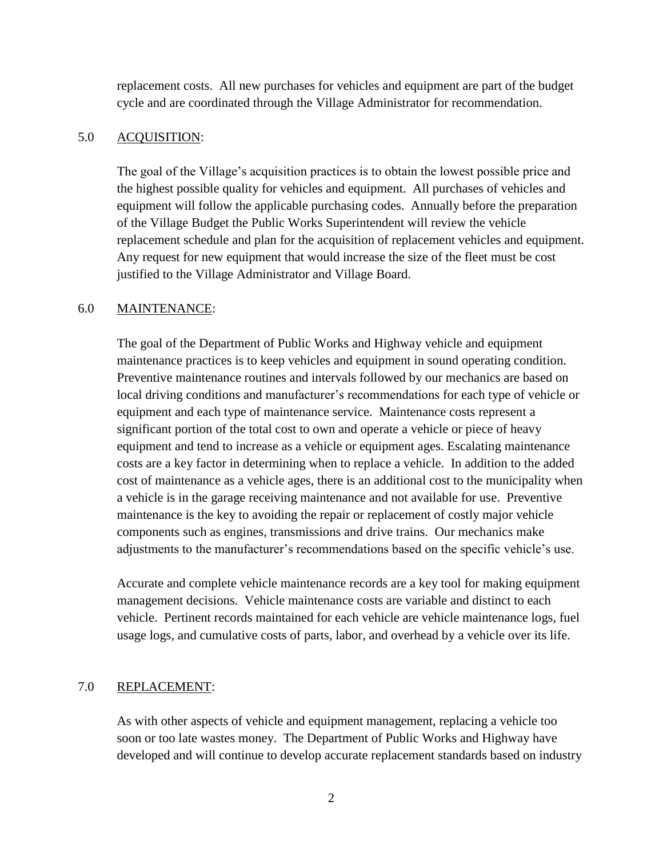replacement costs. All new purchases for vehicles and equipment are part of the budget cycle and are coordinated through the Village Administrator for recommendation.

#### 5.0 ACQUISITION:

The goal of the Village's acquisition practices is to obtain the lowest possible price and the highest possible quality for vehicles and equipment. All purchases of vehicles and equipment will follow the applicable purchasing codes. Annually before the preparation of the Village Budget the Public Works Superintendent will review the vehicle replacement schedule and plan for the acquisition of replacement vehicles and equipment. Any request for new equipment that would increase the size of the fleet must be cost justified to the Village Administrator and Village Board.

#### 6.0 MAINTENANCE:

The goal of the Department of Public Works and Highway vehicle and equipment maintenance practices is to keep vehicles and equipment in sound operating condition. Preventive maintenance routines and intervals followed by our mechanics are based on local driving conditions and manufacturer's recommendations for each type of vehicle or equipment and each type of maintenance service. Maintenance costs represent a significant portion of the total cost to own and operate a vehicle or piece of heavy equipment and tend to increase as a vehicle or equipment ages. Escalating maintenance costs are a key factor in determining when to replace a vehicle. In addition to the added cost of maintenance as a vehicle ages, there is an additional cost to the municipality when a vehicle is in the garage receiving maintenance and not available for use. Preventive maintenance is the key to avoiding the repair or replacement of costly major vehicle components such as engines, transmissions and drive trains. Our mechanics make adjustments to the manufacturer's recommendations based on the specific vehicle's use.

Accurate and complete vehicle maintenance records are a key tool for making equipment management decisions. Vehicle maintenance costs are variable and distinct to each vehicle. Pertinent records maintained for each vehicle are vehicle maintenance logs, fuel usage logs, and cumulative costs of parts, labor, and overhead by a vehicle over its life.

#### 7.0 REPLACEMENT:

As with other aspects of vehicle and equipment management, replacing a vehicle too soon or too late wastes money. The Department of Public Works and Highway have developed and will continue to develop accurate replacement standards based on industry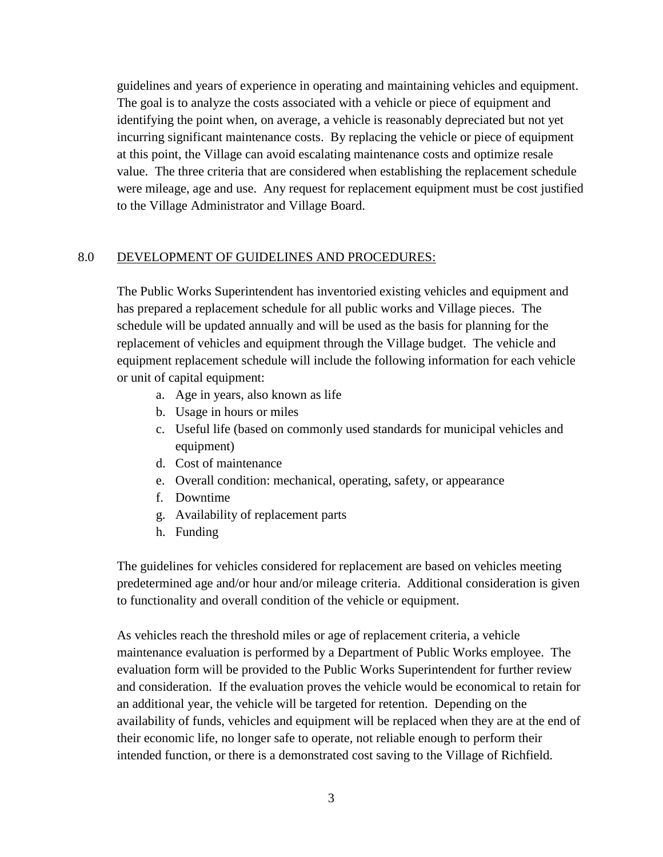guidelines and years of experience in operating and maintaining vehicles and equipment. The goal is to analyze the costs associated with a vehicle or piece of equipment and identifying the point when, on average, a vehicle is reasonably depreciated but not yet incurring significant maintenance costs. By replacing the vehicle or piece of equipment at this point, the Village can avoid escalating maintenance costs and optimize resale value. The three criteria that are considered when establishing the replacement schedule were mileage, age and use. Any request for replacement equipment must be cost justified to the Village Administrator and Village Board.

#### 8.0 DEVELOPMENT OF GUIDELINES AND PROCEDURES:

The Public Works Superintendent has inventoried existing vehicles and equipment and has prepared a replacement schedule for all public works and Village pieces. The schedule will be updated annually and will be used as the basis for planning for the replacement of vehicles and equipment through the Village budget. The vehicle and equipment replacement schedule will include the following information for each vehicle or unit of capital equipment:

- a. Age in years, also known as life
- b. Usage in hours or miles
- c. Useful life (based on commonly used standards for municipal vehicles and equipment)
- d. Cost of maintenance
- e. Overall condition: mechanical, operating, safety, or appearance
- f. Downtime
- g. Availability of replacement parts
- h. Funding

The guidelines for vehicles considered for replacement are based on vehicles meeting predetermined age and/or hour and/or mileage criteria. Additional consideration is given to functionality and overall condition of the vehicle or equipment.

As vehicles reach the threshold miles or age of replacement criteria, a vehicle maintenance evaluation is performed by a Department of Public Works employee. The evaluation form will be provided to the Public Works Superintendent for further review and consideration. If the evaluation proves the vehicle would be economical to retain for an additional year, the vehicle will be targeted for retention. Depending on the availability of funds, vehicles and equipment will be replaced when they are at the end of their economic life, no longer safe to operate, not reliable enough to perform their intended function, or there is a demonstrated cost saving to the Village of Richfield.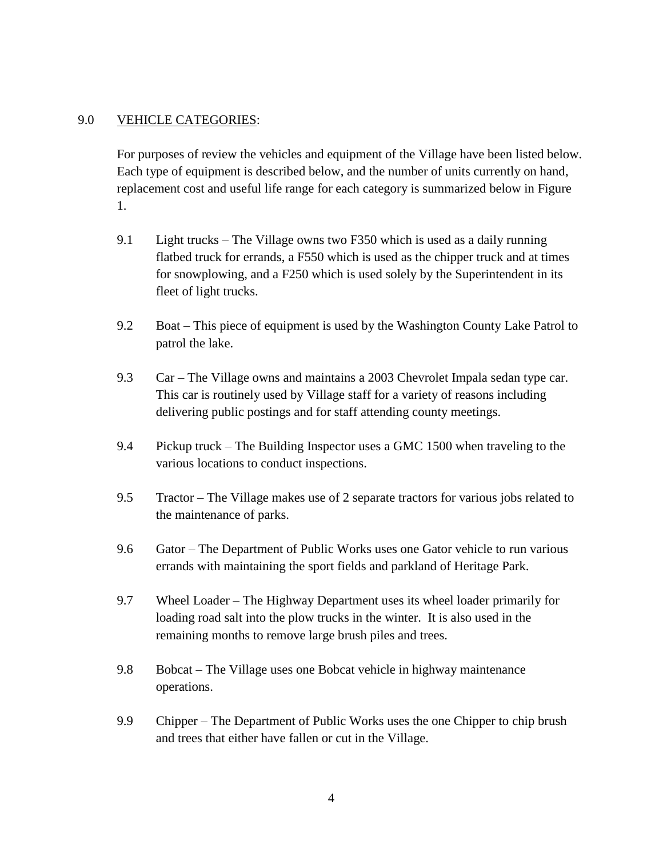#### 9.0 VEHICLE CATEGORIES:

For purposes of review the vehicles and equipment of the Village have been listed below. Each type of equipment is described below, and the number of units currently on hand, replacement cost and useful life range for each category is summarized below in Figure 1.

- 9.1 Light trucks The Village owns two F350 which is used as a daily running flatbed truck for errands, a F550 which is used as the chipper truck and at times for snowplowing, and a F250 which is used solely by the Superintendent in its fleet of light trucks.
- 9.2 Boat This piece of equipment is used by the Washington County Lake Patrol to patrol the lake.
- 9.3 Car The Village owns and maintains a 2003 Chevrolet Impala sedan type car. This car is routinely used by Village staff for a variety of reasons including delivering public postings and for staff attending county meetings.
- 9.4 Pickup truck The Building Inspector uses a GMC 1500 when traveling to the various locations to conduct inspections.
- 9.5 Tractor The Village makes use of 2 separate tractors for various jobs related to the maintenance of parks.
- 9.6 Gator The Department of Public Works uses one Gator vehicle to run various errands with maintaining the sport fields and parkland of Heritage Park.
- 9.7 Wheel Loader The Highway Department uses its wheel loader primarily for loading road salt into the plow trucks in the winter. It is also used in the remaining months to remove large brush piles and trees.
- 9.8 Bobcat The Village uses one Bobcat vehicle in highway maintenance operations.
- 9.9 Chipper The Department of Public Works uses the one Chipper to chip brush and trees that either have fallen or cut in the Village.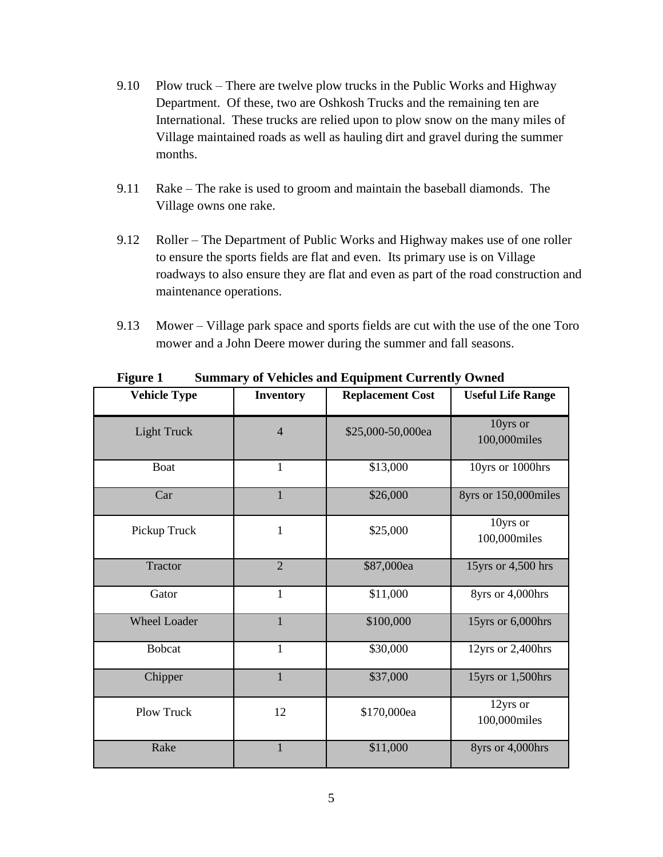- 9.10 Plow truck There are twelve plow trucks in the Public Works and Highway Department. Of these, two are Oshkosh Trucks and the remaining ten are International. These trucks are relied upon to plow snow on the many miles of Village maintained roads as well as hauling dirt and gravel during the summer months.
- 9.11 Rake The rake is used to groom and maintain the baseball diamonds. The Village owns one rake.
- 9.12 Roller The Department of Public Works and Highway makes use of one roller to ensure the sports fields are flat and even. Its primary use is on Village roadways to also ensure they are flat and even as part of the road construction and maintenance operations.
- 9.13 Mower Village park space and sports fields are cut with the use of the one Toro mower and a John Deere mower during the summer and fall seasons.

| <b>Vehicle Type</b> | <b>Inventory</b> | <b>Replacement Cost</b> | <b>Useful Life Range</b> |
|---------------------|------------------|-------------------------|--------------------------|
| <b>Light Truck</b>  | $\overline{4}$   | \$25,000-50,000ea       | 10yrs or<br>100,000miles |
| <b>Boat</b>         | $\mathbf{1}$     | \$13,000                | 10yrs or 1000hrs         |
| Car                 | $\mathbf{1}$     | \$26,000                | 8yrs or 150,000miles     |
| Pickup Truck        | $\mathbf{1}$     | \$25,000                | 10yrs or<br>100,000miles |
| <b>Tractor</b>      | $\overline{2}$   | \$87,000ea              | 15yrs or 4,500 hrs       |
| Gator               | $\mathbf{1}$     | \$11,000                | 8yrs or 4,000hrs         |
| <b>Wheel Loader</b> | 1                | \$100,000               | 15yrs or 6,000hrs        |
| <b>Bobcat</b>       | $\mathbf{1}$     | \$30,000                | 12yrs or 2,400hrs        |
| Chipper             | $\mathbf{1}$     | \$37,000                | 15yrs or 1,500hrs        |
| Plow Truck          | 12               | \$170,000ea             | 12yrs or<br>100,000miles |
| Rake                | $\mathbf{1}$     | \$11,000                | 8yrs or 4,000hrs         |

**Figure 1 Summary of Vehicles and Equipment Currently Owned**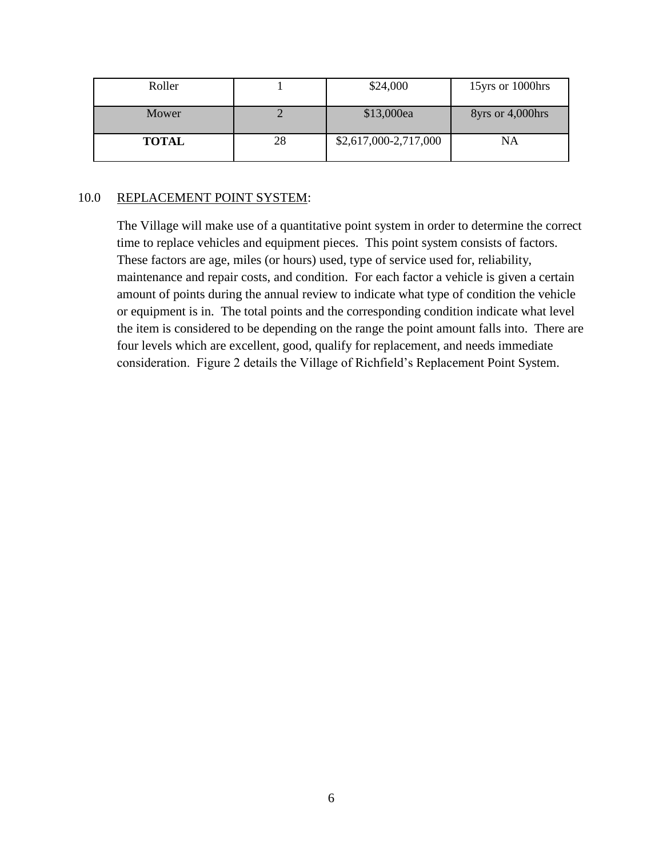| Roller       |    | \$24,000              | 15yrs or 1000hrs |
|--------------|----|-----------------------|------------------|
| Mower        |    | \$13,000ea            | 8yrs or 4,000hrs |
| <b>TOTAL</b> | 28 | \$2,617,000-2,717,000 | NA               |

#### 10.0 REPLACEMENT POINT SYSTEM:

The Village will make use of a quantitative point system in order to determine the correct time to replace vehicles and equipment pieces. This point system consists of factors. These factors are age, miles (or hours) used, type of service used for, reliability, maintenance and repair costs, and condition. For each factor a vehicle is given a certain amount of points during the annual review to indicate what type of condition the vehicle or equipment is in. The total points and the corresponding condition indicate what level the item is considered to be depending on the range the point amount falls into. There are four levels which are excellent, good, qualify for replacement, and needs immediate consideration. Figure 2 details the Village of Richfield's Replacement Point System.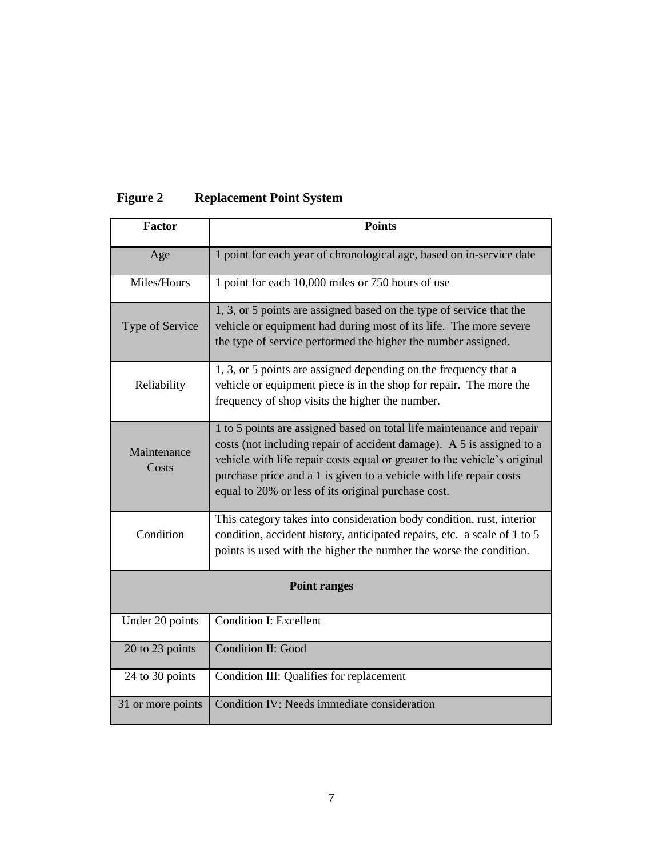| <b>Factor</b>        | <b>Points</b>                                                                                                                                                                                                                                                                                                                                             |  |  |  |  |
|----------------------|-----------------------------------------------------------------------------------------------------------------------------------------------------------------------------------------------------------------------------------------------------------------------------------------------------------------------------------------------------------|--|--|--|--|
|                      |                                                                                                                                                                                                                                                                                                                                                           |  |  |  |  |
| Age                  | 1 point for each year of chronological age, based on in-service date                                                                                                                                                                                                                                                                                      |  |  |  |  |
| Miles/Hours          | 1 point for each 10,000 miles or 750 hours of use                                                                                                                                                                                                                                                                                                         |  |  |  |  |
| Type of Service      | 1, 3, or 5 points are assigned based on the type of service that the<br>vehicle or equipment had during most of its life. The more severe<br>the type of service performed the higher the number assigned.                                                                                                                                                |  |  |  |  |
| Reliability          | 1, 3, or 5 points are assigned depending on the frequency that a<br>vehicle or equipment piece is in the shop for repair. The more the<br>frequency of shop visits the higher the number.                                                                                                                                                                 |  |  |  |  |
| Maintenance<br>Costs | 1 to 5 points are assigned based on total life maintenance and repair<br>costs (not including repair of accident damage). A 5 is assigned to a<br>vehicle with life repair costs equal or greater to the vehicle's original<br>purchase price and a 1 is given to a vehicle with life repair costs<br>equal to 20% or less of its original purchase cost. |  |  |  |  |
| Condition            | This category takes into consideration body condition, rust, interior<br>condition, accident history, anticipated repairs, etc. a scale of 1 to 5<br>points is used with the higher the number the worse the condition.                                                                                                                                   |  |  |  |  |
| <b>Point ranges</b>  |                                                                                                                                                                                                                                                                                                                                                           |  |  |  |  |
| Under 20 points      | <b>Condition I: Excellent</b>                                                                                                                                                                                                                                                                                                                             |  |  |  |  |
| 20 to 23 points      | <b>Condition II: Good</b>                                                                                                                                                                                                                                                                                                                                 |  |  |  |  |
| 24 to 30 points      | Condition III: Qualifies for replacement                                                                                                                                                                                                                                                                                                                  |  |  |  |  |
| 31 or more points    | Condition IV: Needs immediate consideration                                                                                                                                                                                                                                                                                                               |  |  |  |  |

# **Figure 2 Replacement Point System**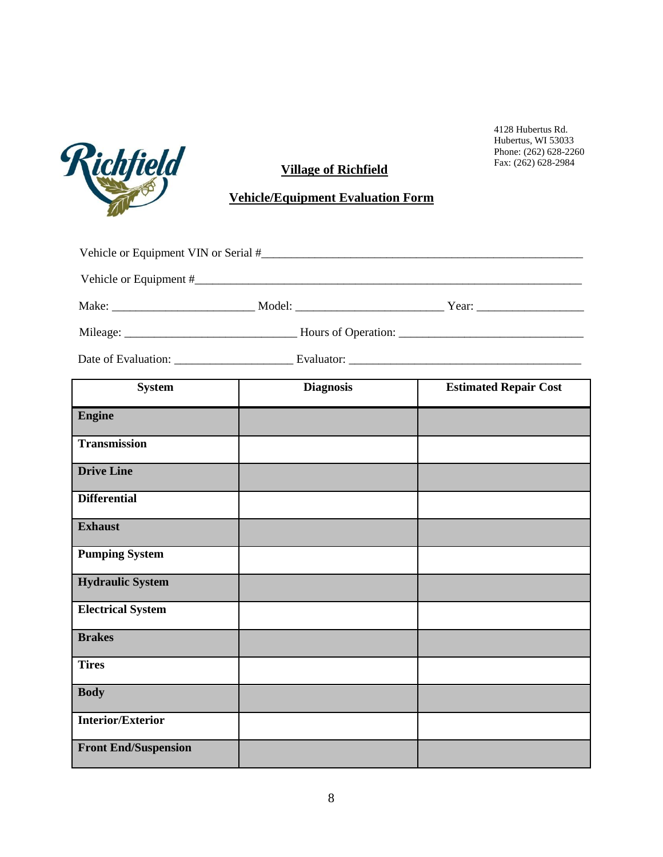

## **Village of Richfield**

### **Vehicle/Equipment Evaluation Form**

| <b>System</b>         |  | <b>Diagnosis</b> | <b>Estimated Repair Cost</b> |  |  |
|-----------------------|--|------------------|------------------------------|--|--|
| <b>Engine</b>         |  |                  |                              |  |  |
| <b>Transmission</b>   |  |                  |                              |  |  |
| <b>Drive Line</b>     |  |                  |                              |  |  |
| <b>Differential</b>   |  |                  |                              |  |  |
| <b>Exhaust</b>        |  |                  |                              |  |  |
| <b>Pumping System</b> |  |                  |                              |  |  |

| <b>Pumping System</b>       |  |
|-----------------------------|--|
| <b>Hydraulic System</b>     |  |
| <b>Electrical System</b>    |  |
| <b>Brakes</b>               |  |
| <b>Tires</b>                |  |
| <b>Body</b>                 |  |
| <b>Interior/Exterior</b>    |  |
| <b>Front End/Suspension</b> |  |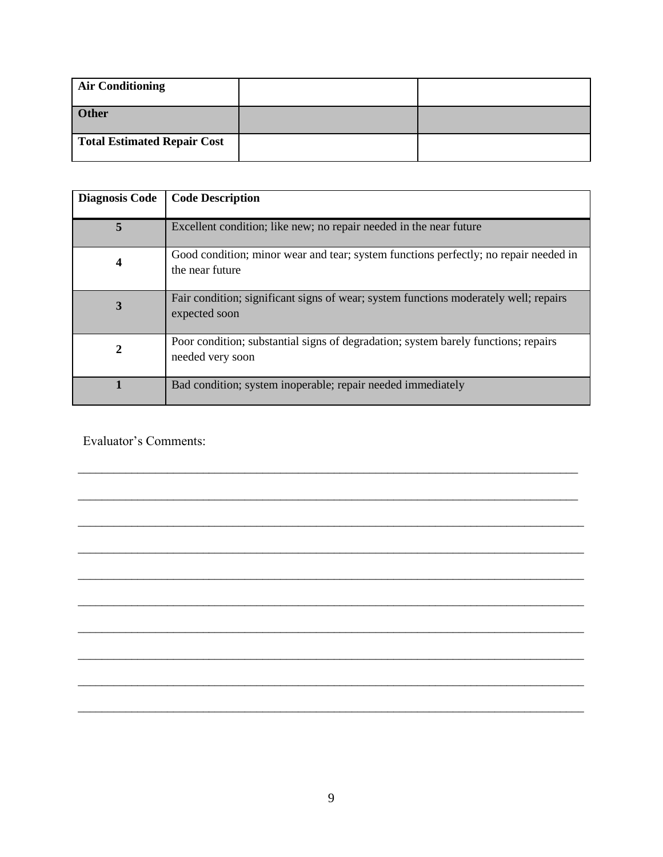| <b>Air Conditioning</b>     |  |
|-----------------------------|--|
| Other                       |  |
| Total Estimated Repair Cost |  |

| <b>Diagnosis Code</b> | <b>Code Description</b>                                                                                 |
|-----------------------|---------------------------------------------------------------------------------------------------------|
| 5                     | Excellent condition; like new; no repair needed in the near future                                      |
| 4                     | Good condition; minor wear and tear; system functions perfectly; no repair needed in<br>the near future |
| 3                     | Fair condition; significant signs of wear; system functions moderately well; repairs<br>expected soon   |
| $\boldsymbol{2}$      | Poor condition; substantial signs of degradation; system barely functions; repairs<br>needed very soon  |
|                       | Bad condition; system inoperable; repair needed immediately                                             |

\_\_\_\_\_\_\_\_\_\_\_\_\_\_\_\_\_\_\_\_\_\_\_\_\_\_\_\_\_\_\_\_\_\_\_\_\_\_\_\_\_\_\_\_\_\_\_\_\_\_\_\_\_\_\_\_\_\_\_\_\_\_\_\_\_\_\_\_\_\_\_\_\_\_\_\_\_\_\_\_\_\_\_\_

\_\_\_\_\_\_\_\_\_\_\_\_\_\_\_\_\_\_\_\_\_\_\_\_\_\_\_\_\_\_\_\_\_\_\_\_\_\_\_\_\_\_\_\_\_\_\_\_\_\_\_\_\_\_\_\_\_\_\_\_\_\_\_\_\_\_\_\_\_\_\_\_\_\_\_\_\_\_\_\_\_\_\_\_

\_\_\_\_\_\_\_\_\_\_\_\_\_\_\_\_\_\_\_\_\_\_\_\_\_\_\_\_\_\_\_\_\_\_\_\_\_\_\_\_\_\_\_\_\_\_\_\_\_\_\_\_\_\_\_\_\_\_\_\_\_\_\_\_\_\_\_\_\_\_\_\_\_\_\_\_\_\_\_\_\_\_\_\_\_

\_\_\_\_\_\_\_\_\_\_\_\_\_\_\_\_\_\_\_\_\_\_\_\_\_\_\_\_\_\_\_\_\_\_\_\_\_\_\_\_\_\_\_\_\_\_\_\_\_\_\_\_\_\_\_\_\_\_\_\_\_\_\_\_\_\_\_\_\_\_\_\_\_\_\_\_\_\_\_\_\_\_\_\_\_

\_\_\_\_\_\_\_\_\_\_\_\_\_\_\_\_\_\_\_\_\_\_\_\_\_\_\_\_\_\_\_\_\_\_\_\_\_\_\_\_\_\_\_\_\_\_\_\_\_\_\_\_\_\_\_\_\_\_\_\_\_\_\_\_\_\_\_\_\_\_\_\_\_\_\_\_\_\_\_\_\_\_\_\_\_

\_\_\_\_\_\_\_\_\_\_\_\_\_\_\_\_\_\_\_\_\_\_\_\_\_\_\_\_\_\_\_\_\_\_\_\_\_\_\_\_\_\_\_\_\_\_\_\_\_\_\_\_\_\_\_\_\_\_\_\_\_\_\_\_\_\_\_\_\_\_\_\_\_\_\_\_\_\_\_\_\_\_\_\_\_

\_\_\_\_\_\_\_\_\_\_\_\_\_\_\_\_\_\_\_\_\_\_\_\_\_\_\_\_\_\_\_\_\_\_\_\_\_\_\_\_\_\_\_\_\_\_\_\_\_\_\_\_\_\_\_\_\_\_\_\_\_\_\_\_\_\_\_\_\_\_\_\_\_\_\_\_\_\_\_\_\_\_\_\_\_

\_\_\_\_\_\_\_\_\_\_\_\_\_\_\_\_\_\_\_\_\_\_\_\_\_\_\_\_\_\_\_\_\_\_\_\_\_\_\_\_\_\_\_\_\_\_\_\_\_\_\_\_\_\_\_\_\_\_\_\_\_\_\_\_\_\_\_\_\_\_\_\_\_\_\_\_\_\_\_\_\_\_\_\_\_

\_\_\_\_\_\_\_\_\_\_\_\_\_\_\_\_\_\_\_\_\_\_\_\_\_\_\_\_\_\_\_\_\_\_\_\_\_\_\_\_\_\_\_\_\_\_\_\_\_\_\_\_\_\_\_\_\_\_\_\_\_\_\_\_\_\_\_\_\_\_\_\_\_\_\_\_\_\_\_\_\_\_\_\_\_

\_\_\_\_\_\_\_\_\_\_\_\_\_\_\_\_\_\_\_\_\_\_\_\_\_\_\_\_\_\_\_\_\_\_\_\_\_\_\_\_\_\_\_\_\_\_\_\_\_\_\_\_\_\_\_\_\_\_\_\_\_\_\_\_\_\_\_\_\_\_\_\_\_\_\_\_\_\_\_\_\_\_\_\_\_

Evaluator's Comments: